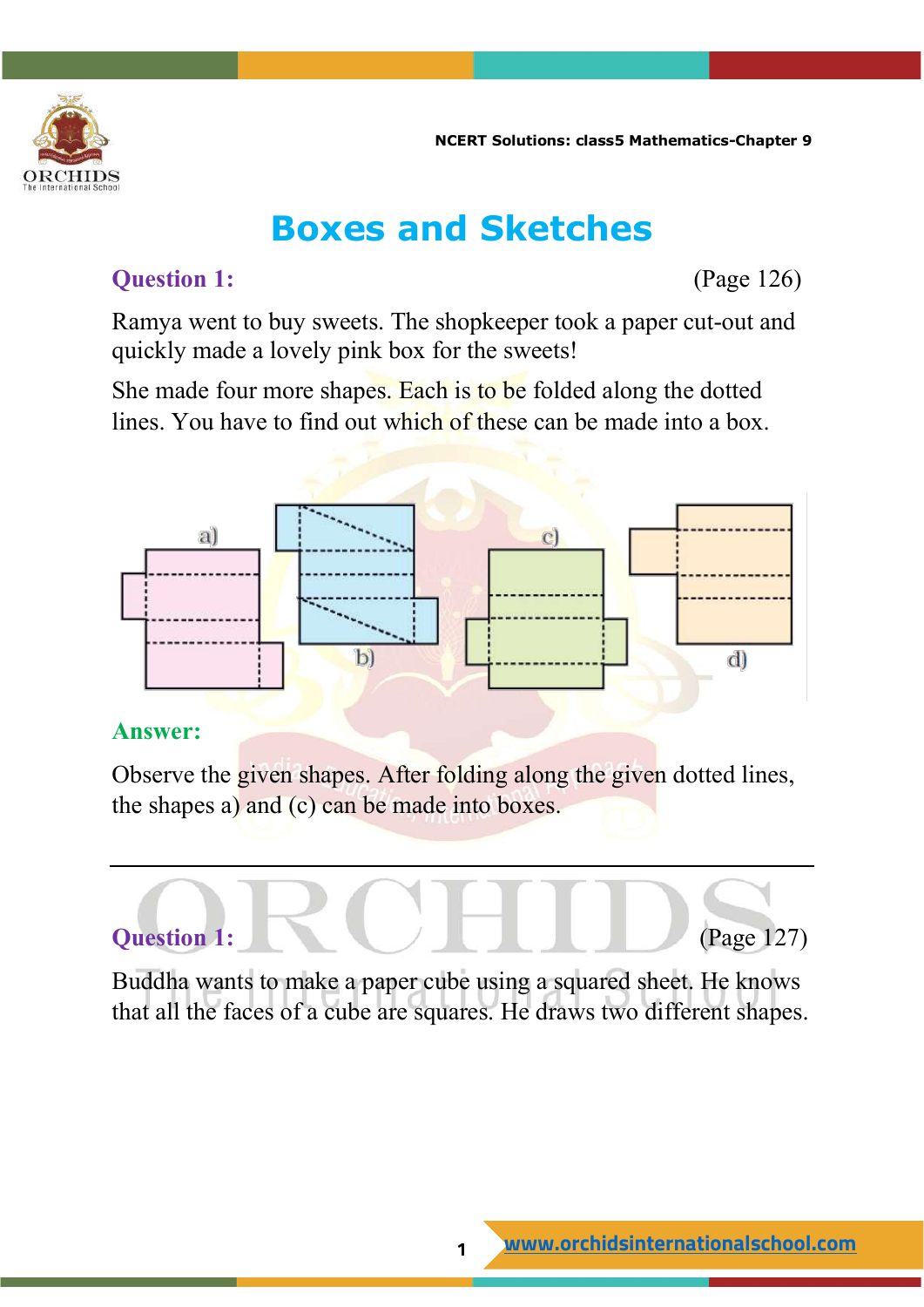

### **Boxes and Sketches**

#### **Question 1:** (Page 126)

Ramya went to buy sweets. The shopkeeper took a paper cut-out and quickly made a lovely pink box for the sweets!

She made four more shapes. Each is to be folded along the dotted lines. You have to find out which of these can be made into a box.



#### **Answer:**

Observe the given shapes. After folding along the given dotted lines, the shapes a) and (c) can be made into boxes.

# **Question 1: Question 1: (Page 127)**

Buddha wants to make a paper cube using a squared sheet. He knows that all the faces of a cube are squares. He draws two different shapes.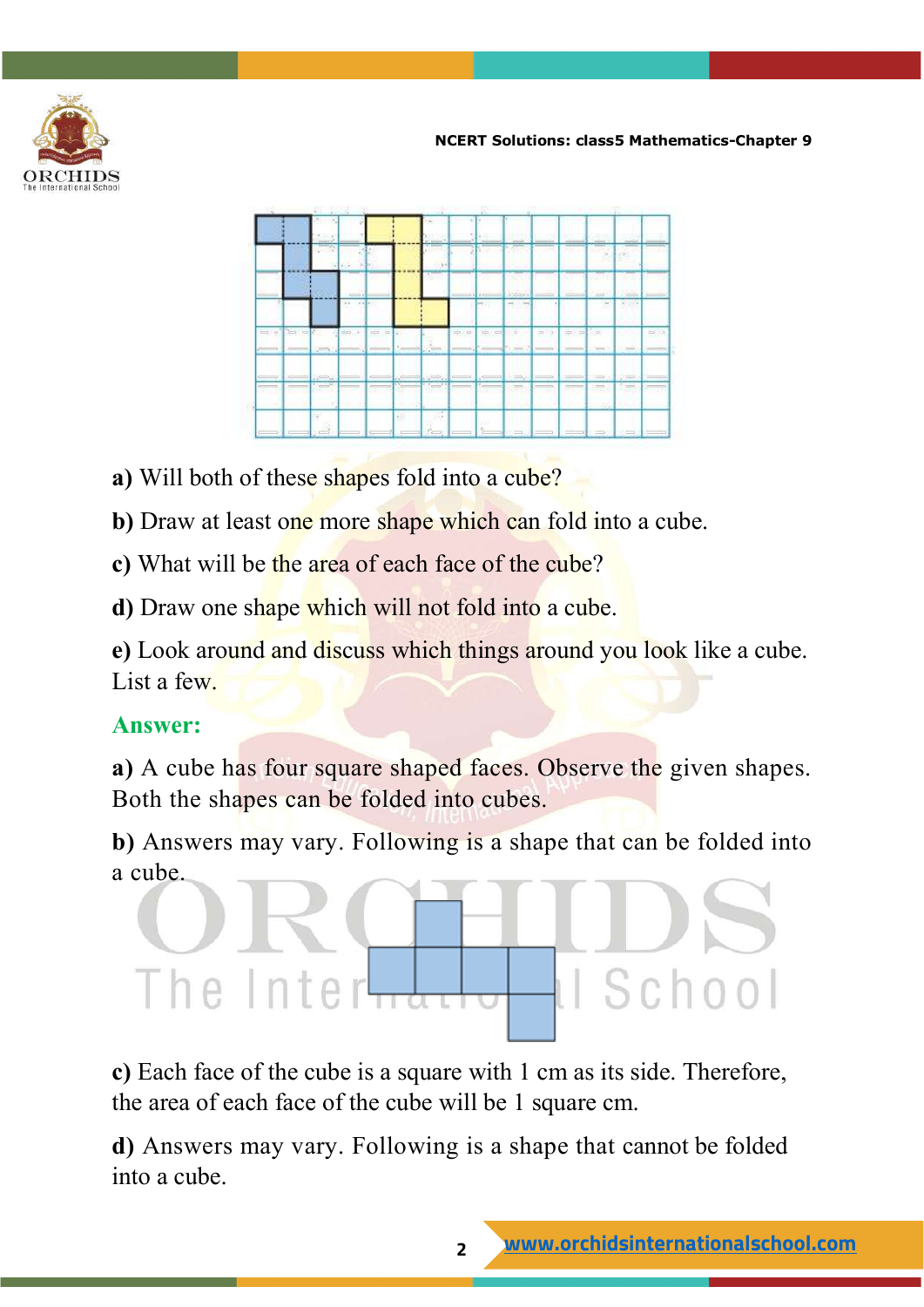



- **a)** Will both of these shapes fold into a cube?
- **b**) Draw at least one more shape which can fold into a cube.
- **c)** What will be the area of each face of the cube?
- **d)** Draw one shape which will not fold into a cube.

**e)** Look around and discuss which things around you look like a cube. List a few.

#### **Answer:**

**a)** A cube has four square shaped faces. Observe the given shapes. Both the shapes can be folded into cubes.

**b)** Answers may vary. Following is a shape that can be folded into a cube.

## Il School The Inter-

**c)** Each face of the cube is a square with 1 cm as its side. Therefore, the area of each face of the cube will be 1 square cm.

**d)** Answers may vary. Following is a shape that cannot be folded into a cube.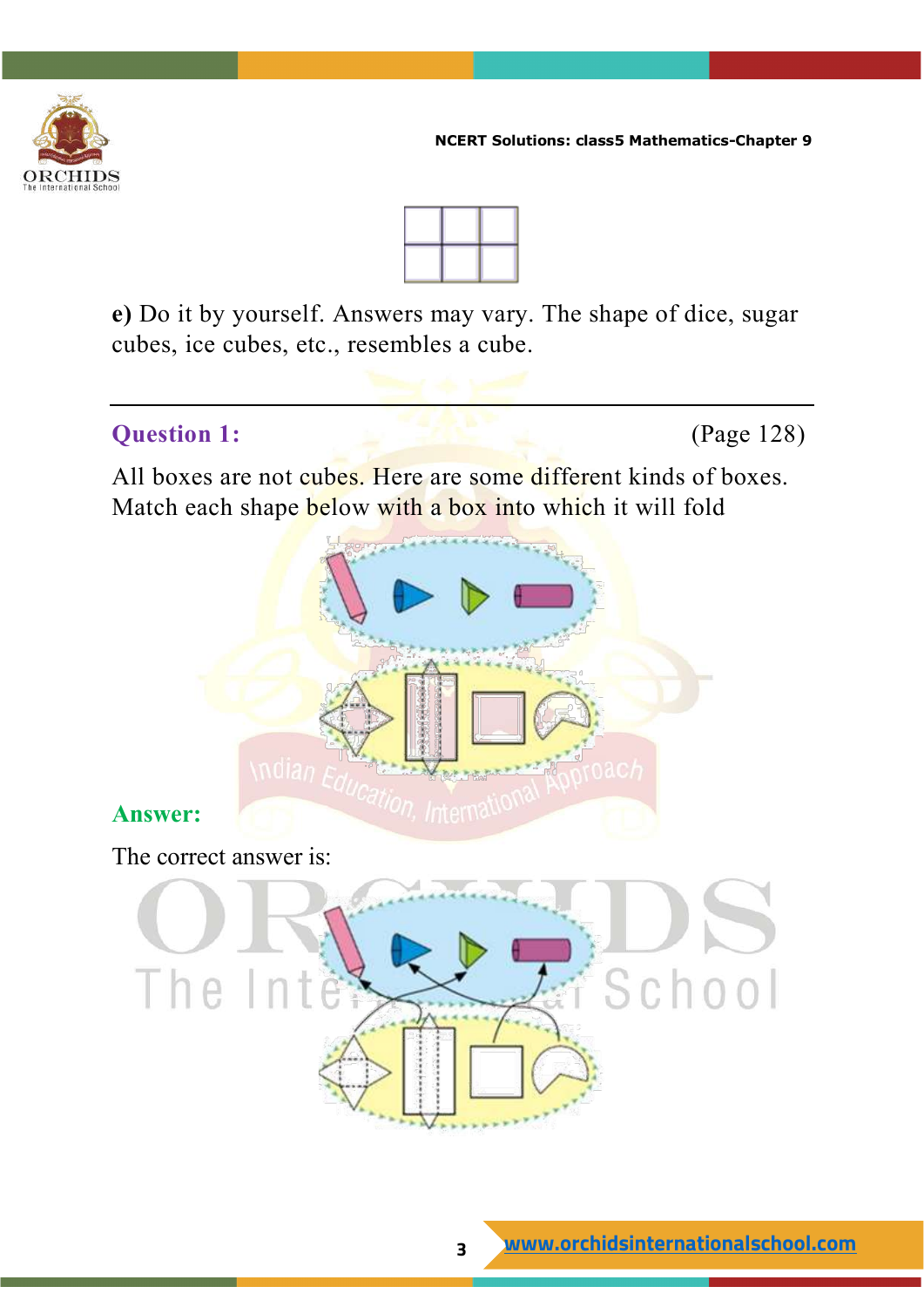



**e)** Do it by yourself. Answers may vary. The shape of dice, sugar cubes, ice cubes, etc., resembles a cube.

#### **Question 1:** (Page 128)

All boxes are not cubes. Here are some different kinds of boxes. Match each shape below with a box into which it will fold



#### **Answer:**

The correct answer is:

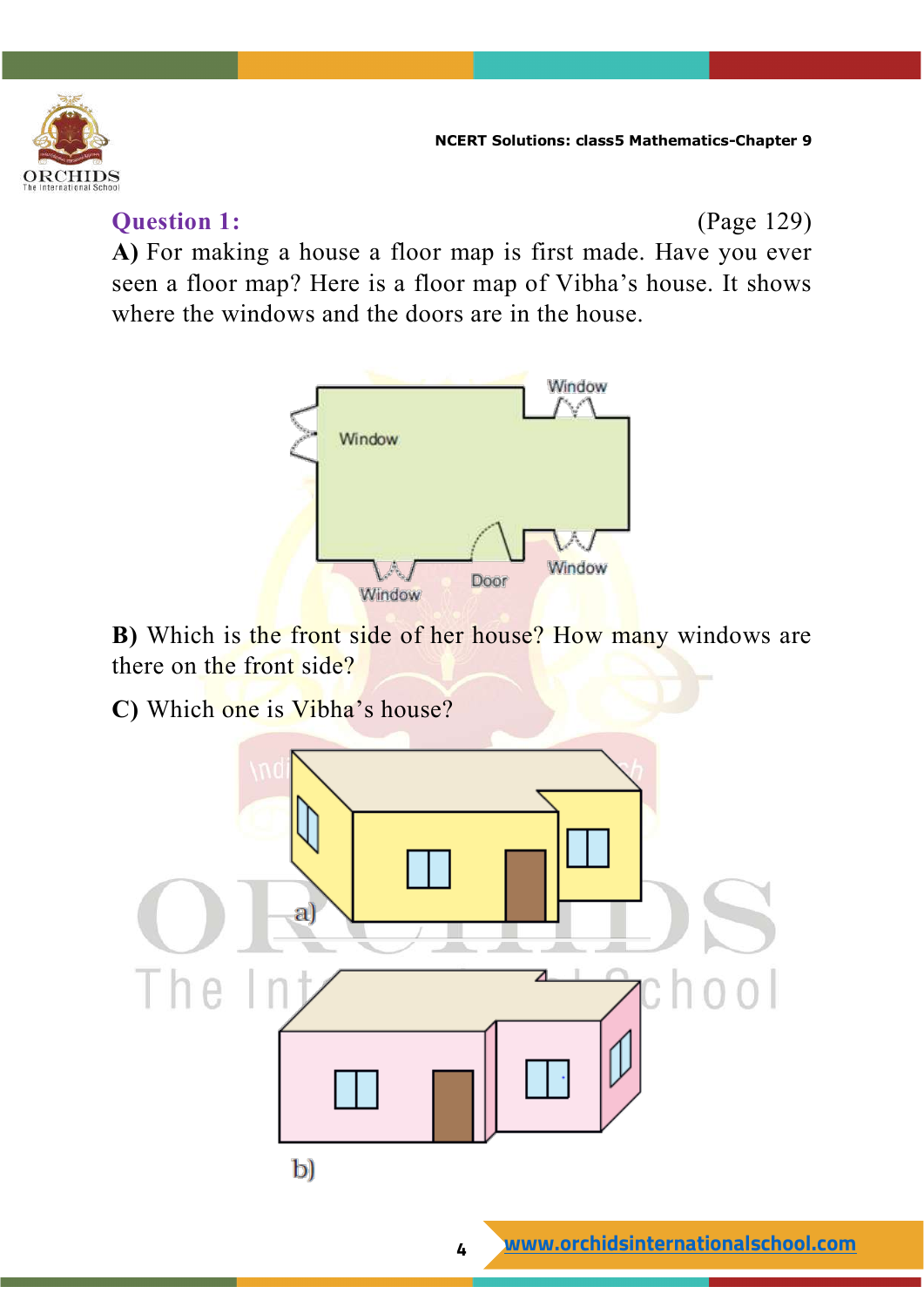

#### **Question 1:** (Page 129)

**A)** For making a house a floor map is first made. Have you ever seen a floor map? Here is a floor map of Vibha's house. It shows where the windows and the doors are in the house.



**B)** Which is the front side of her house? How many windows are there on the front side?

**C)** Which one is Vibha's house?

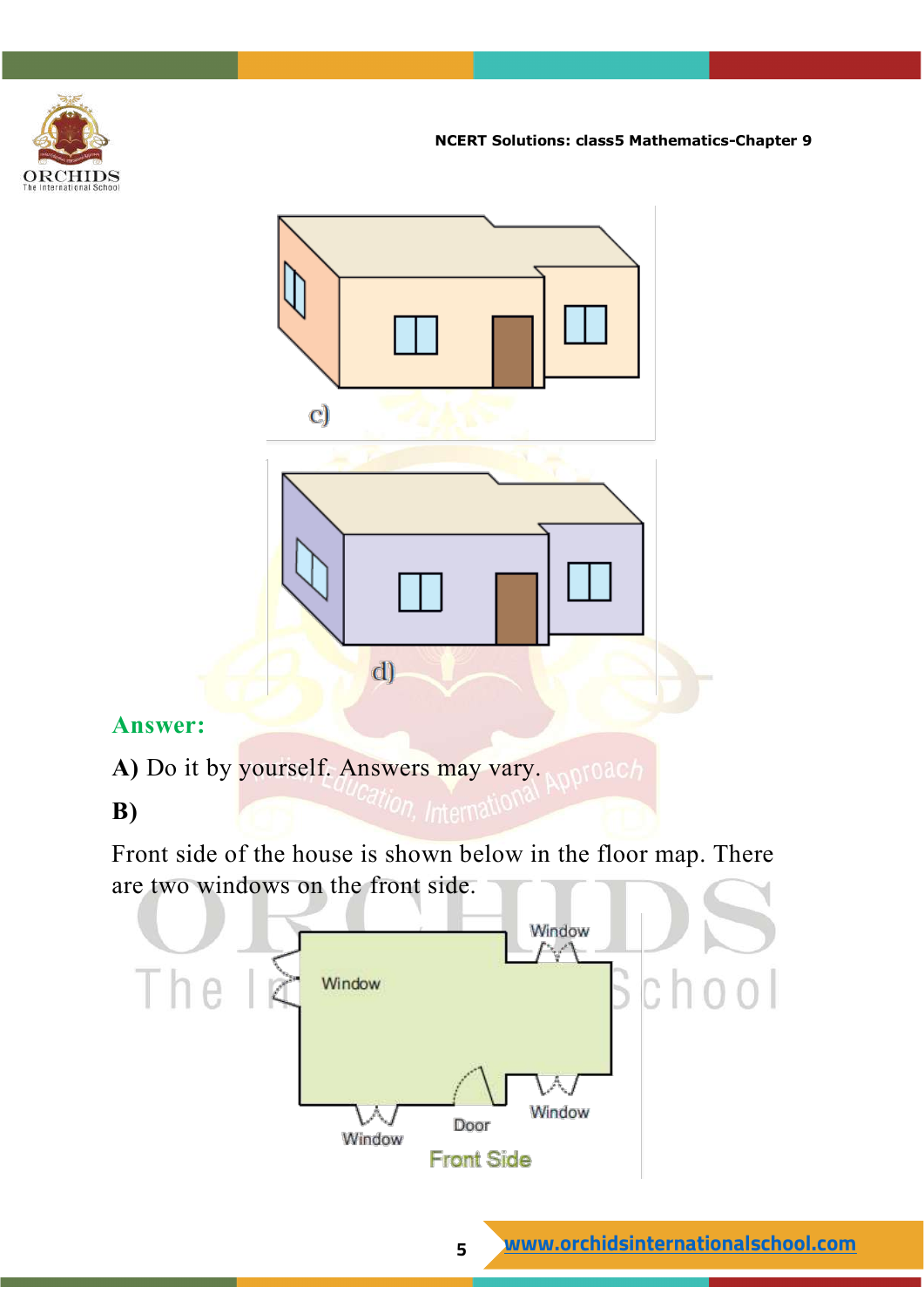



#### **Answer:**

A) Do it by yourself. Answers may vary. **All of Dans** 

#### **B)**

Front side of the house is shown below in the floor map. There are two windows on the front side.

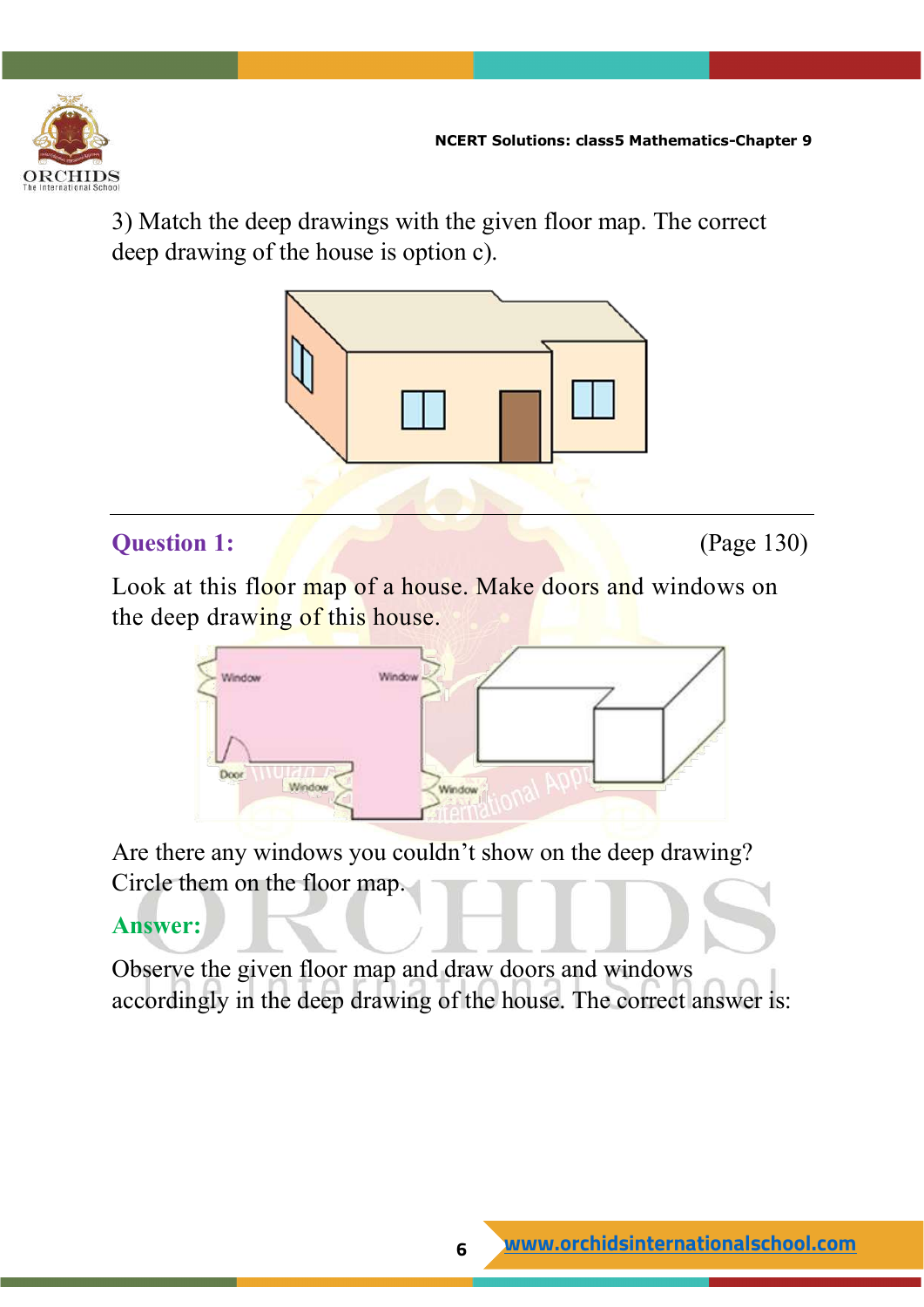

3) Match the deep drawings with the given floor map. The correct deep drawing of the house is option c).



#### **Question 1:** (Page 130)

Look at this floor map of a house. Make doors and windows on the deep drawing of this house.



Are there any windows you couldn't show on the deep drawing? Circle them on the floor map.

#### **Answer:**

Observe the given floor map and draw doors and windows accordingly in the deep drawing of the house. The correct answer is: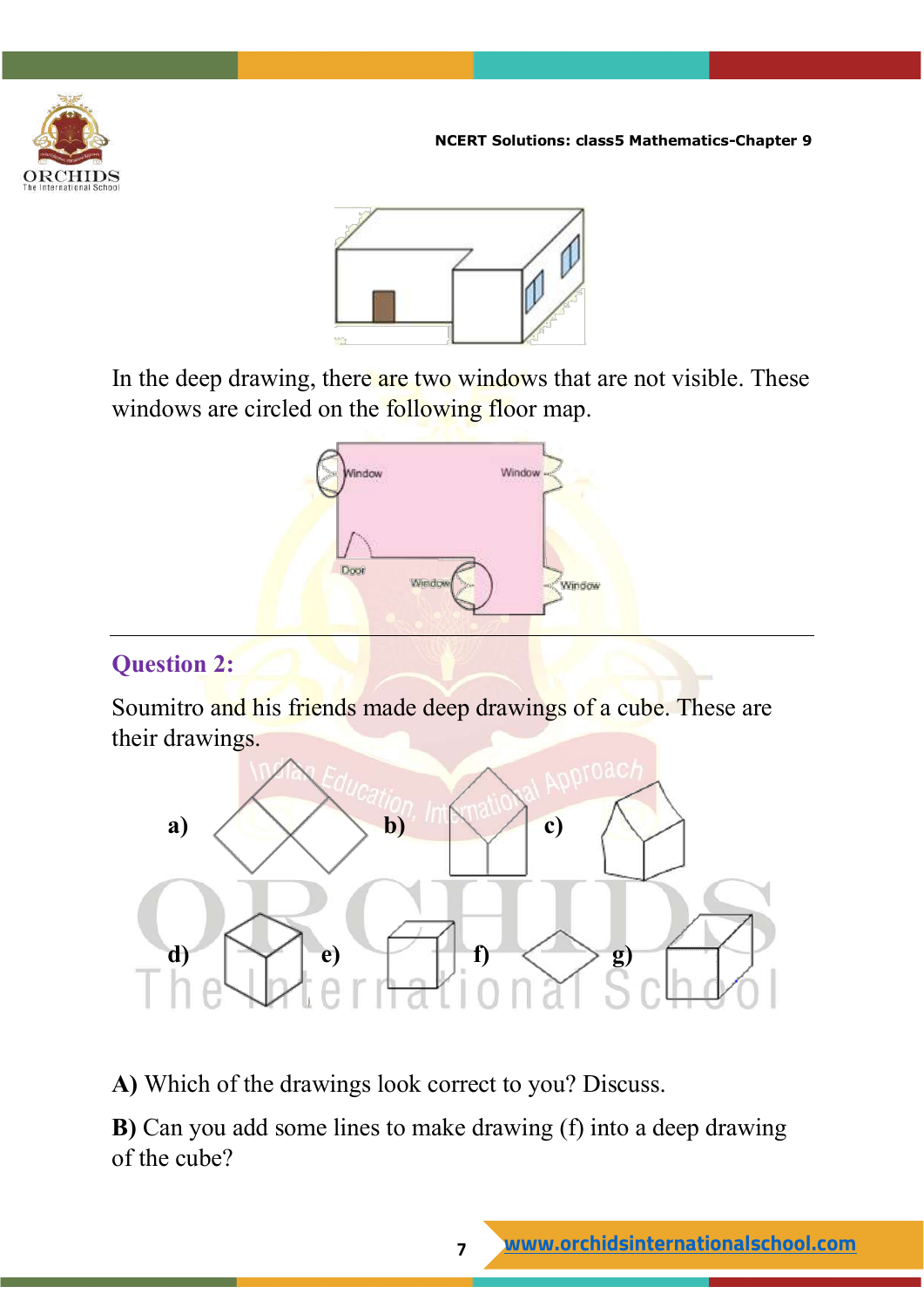



In the deep drawing, there are two windows that are not visible. These windows are circled on the following floor map.



#### **Question 2:**

Soumitro and his friends made deep drawings of a cube. These are their drawings.



**A)** Which of the drawings look correct to you? Discuss.

**B)** Can you add some lines to make drawing (f) into a deep drawing of the cube?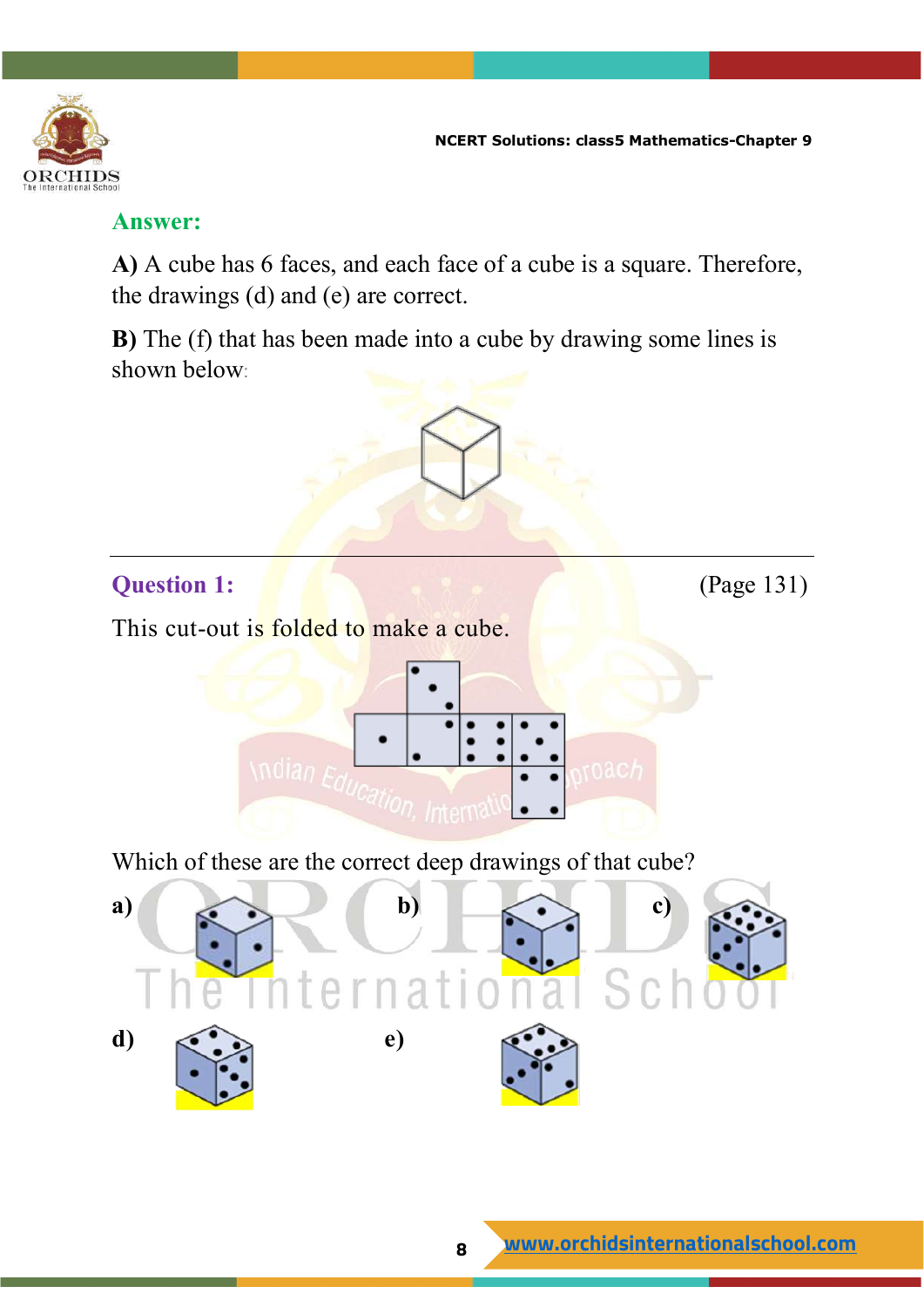

#### **Answer:**

**A)** A cube has 6 faces, and each face of a cube is a square. Therefore, the drawings (d) and (e) are correct.

**B)** The (f) that has been made into a cube by drawing some lines is shown below:

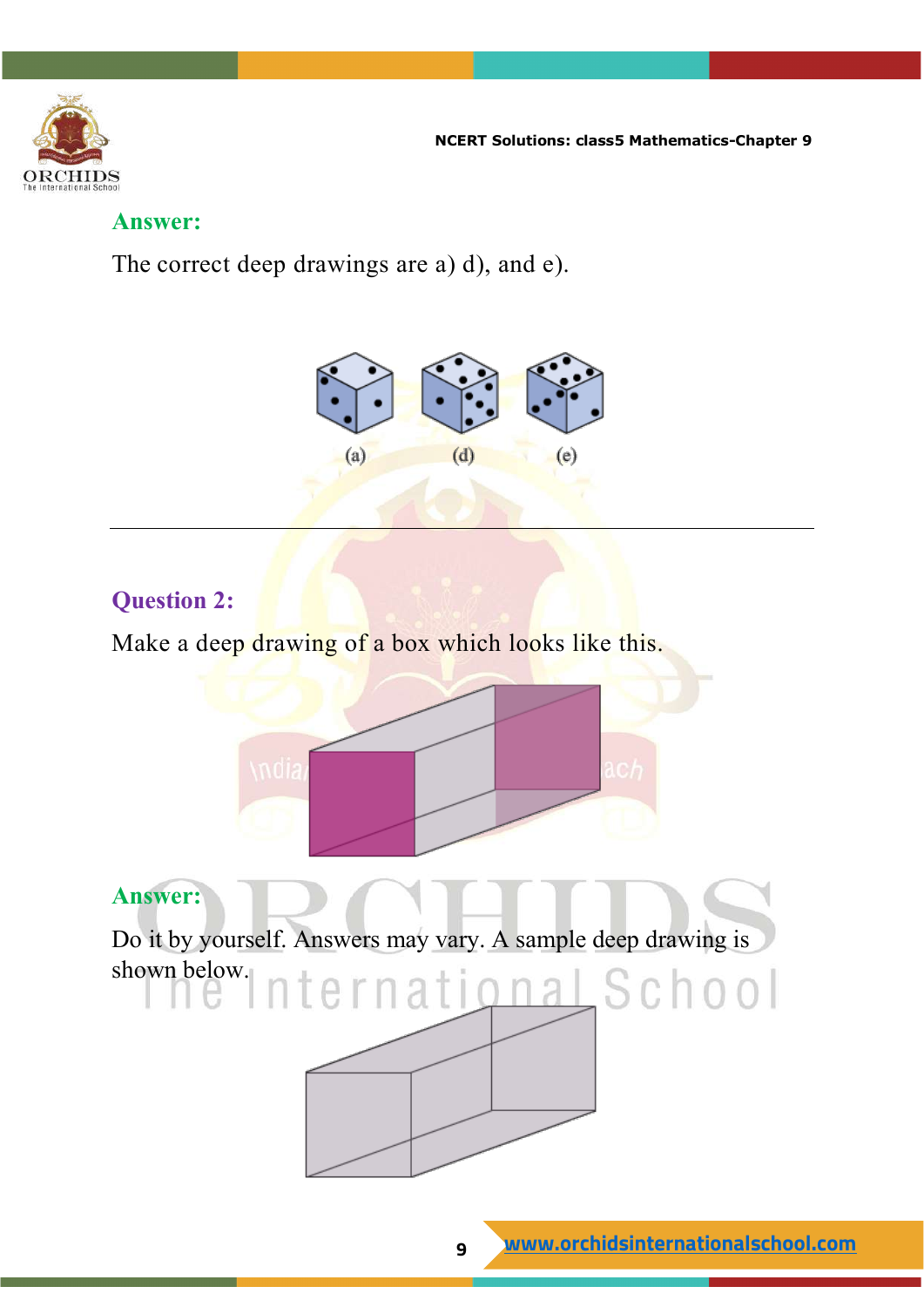

#### **Answer:**

The correct deep drawings are a) d), and e).



#### **Question 2:**

Make a deep drawing of a box which looks like this.



#### **Answer:**

Do it by yourself. Answers may vary. A sample deep drawing is shown below.iternati<u>onal</u> School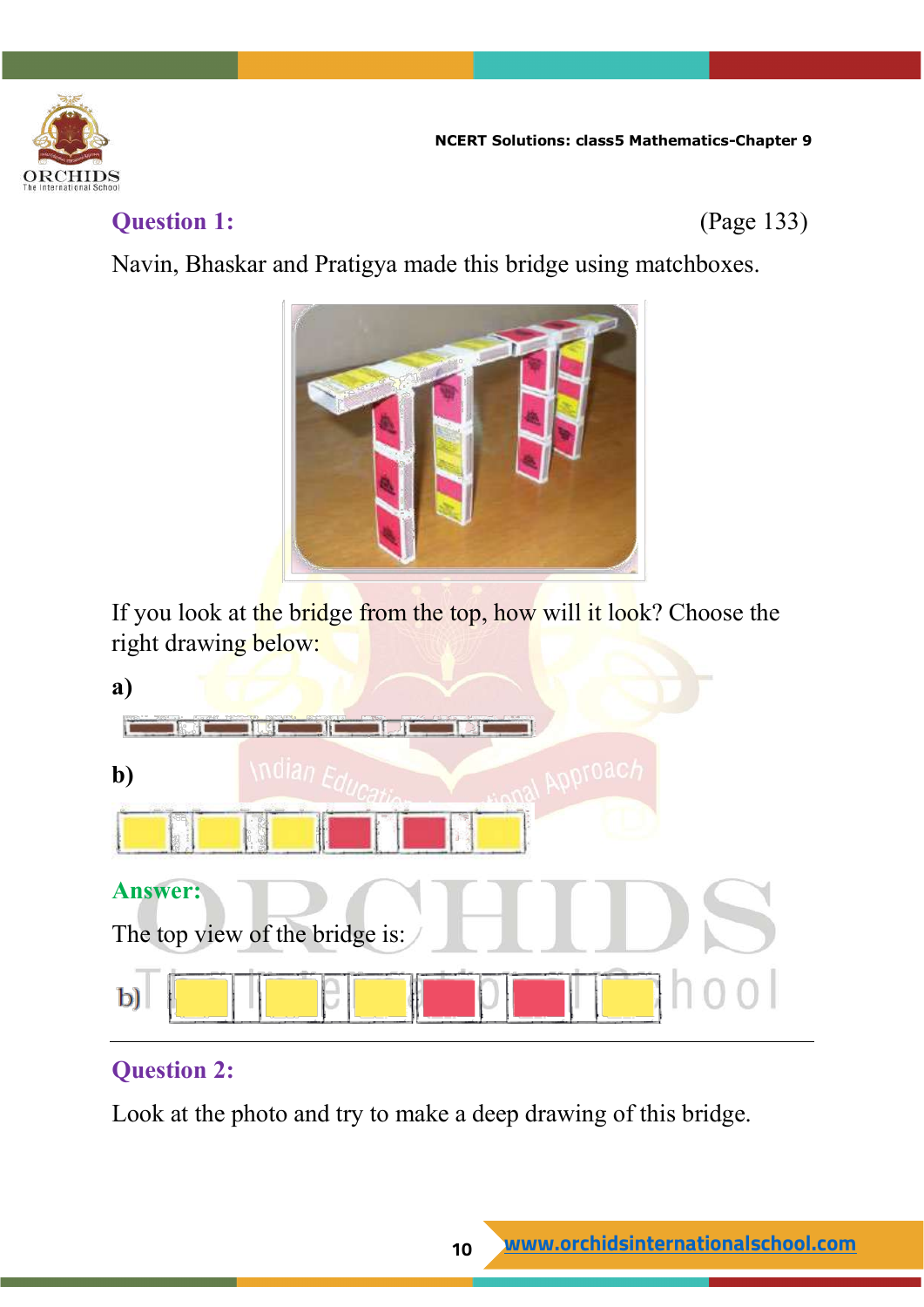

#### **Question 1:** (Page 133)

Navin, Bhaskar and Pratigya made this bridge using matchboxes.



If you look at the bridge from the top, how will it look? Choose the right drawing below:



#### **Question 2:**

Look at the photo and try to make a deep drawing of this bridge.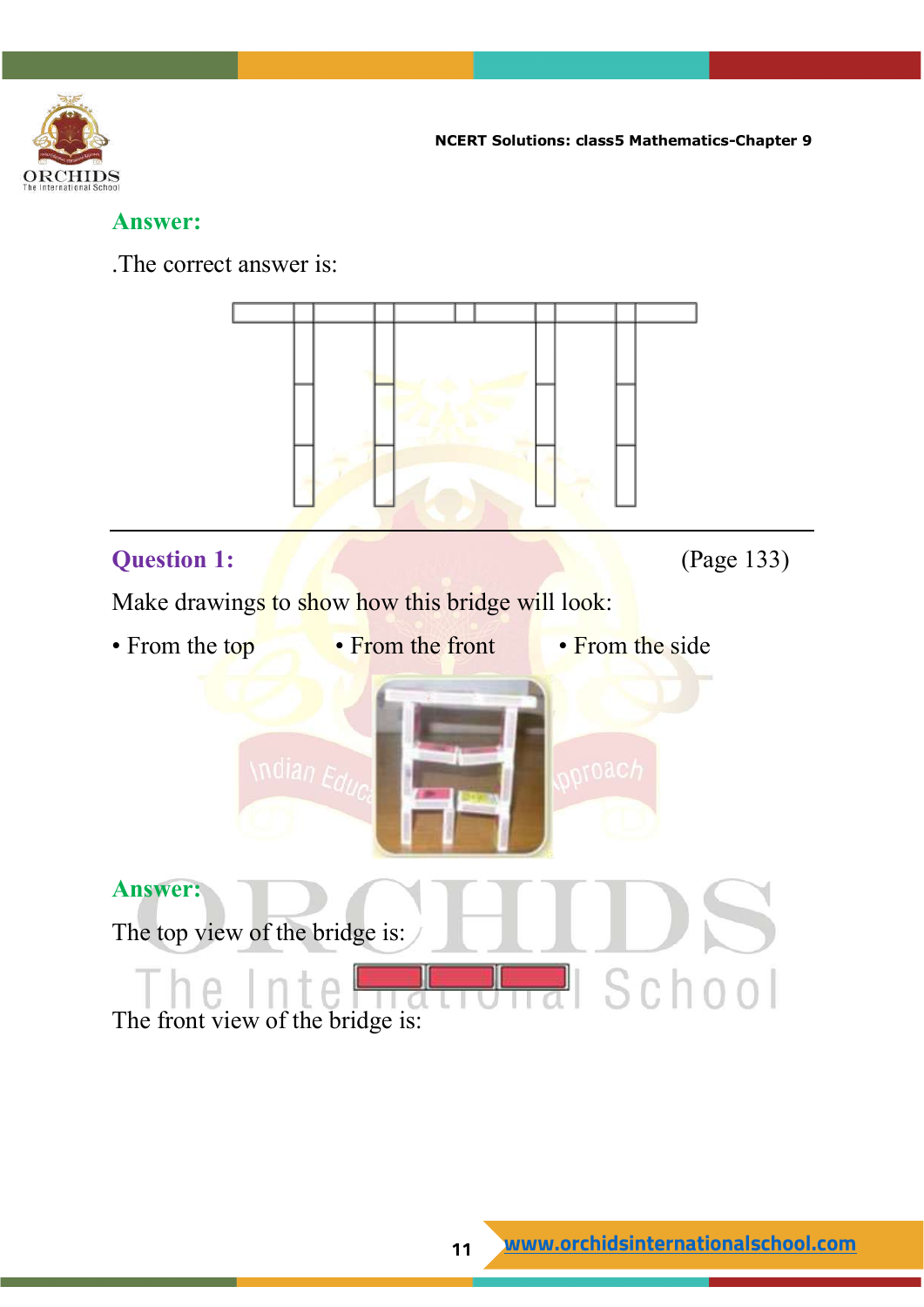

#### **Answer:**

.The correct answer is:



#### **Question 1: Constant Constant Constant Constant Constant Constant Constant Constant Constant Constant Constant Constant Constant Constant Constant Constant Constant Constant Constant Constant Constant Constant Constant**

Make drawings to show how this bridge will look:

- From the top From the front From the side
	-
- 



**Answer:** The top view of the bridge is: <mark>긝</mark> School T te II The front view of the bridge is: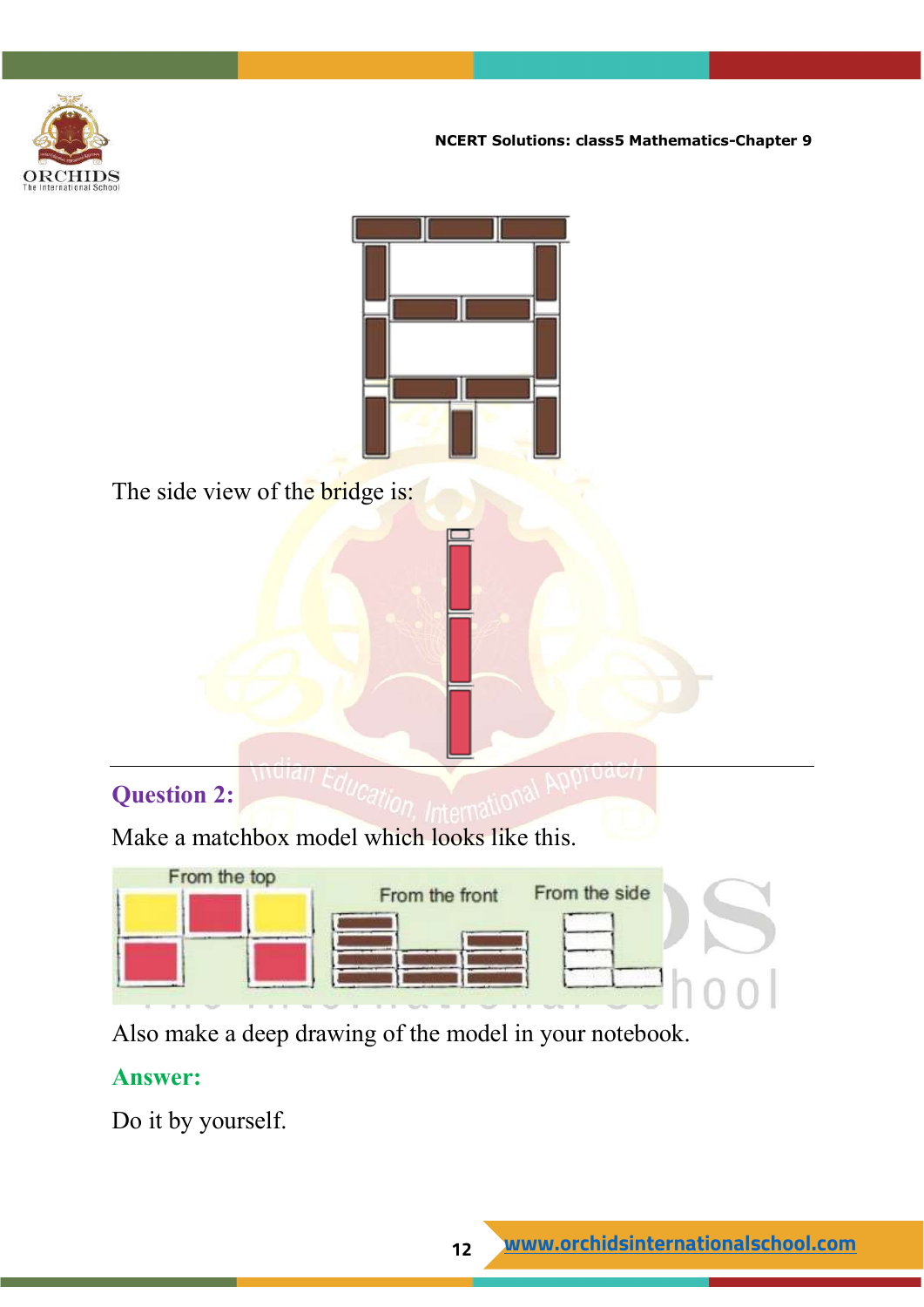



The side view of the bridge is:

#### **Question 2:**

Make a matchbox model which looks like this.



Also make a deep drawing of the model in your notebook.

#### **Answer:**

Do it by yourself.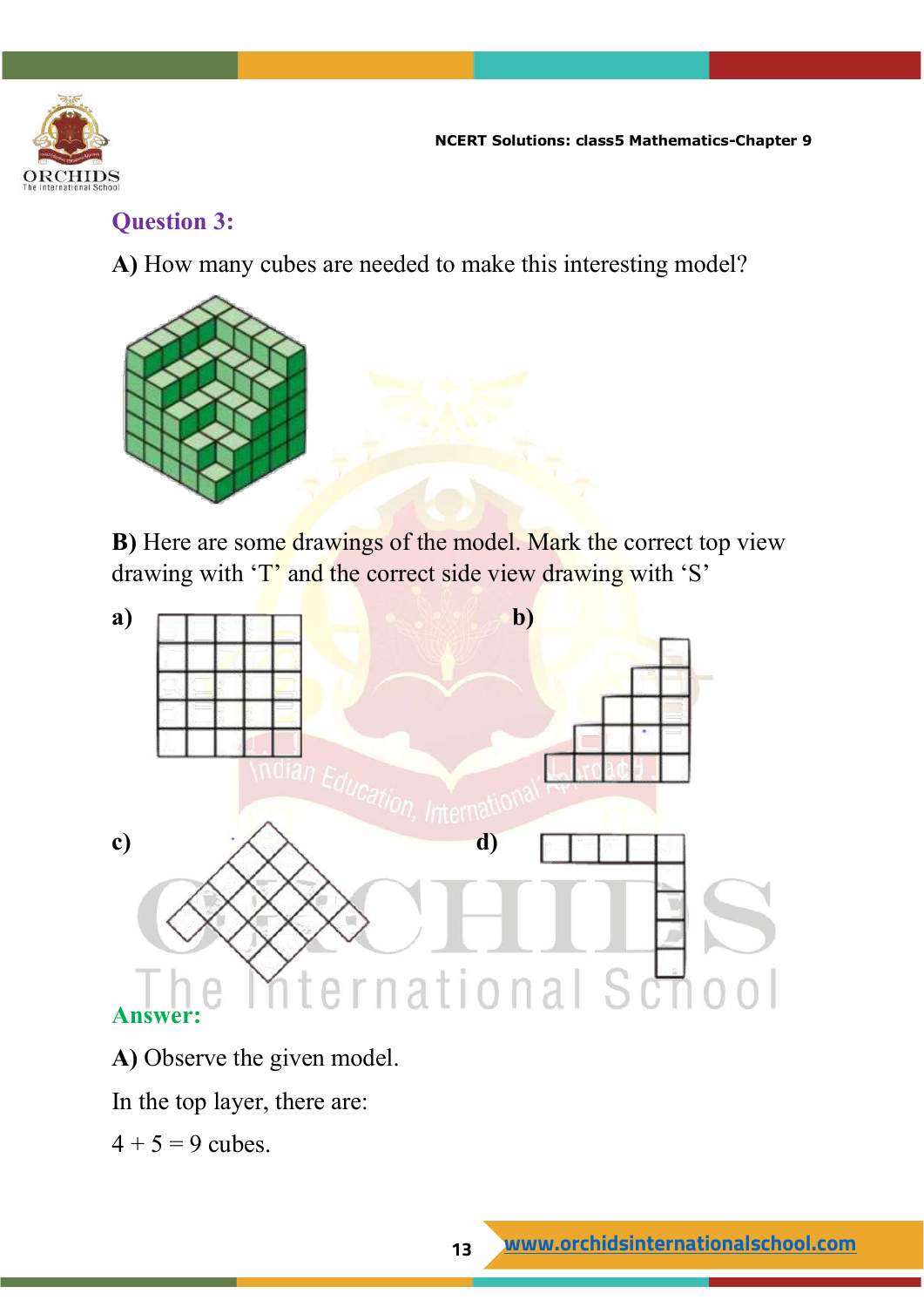

#### **Question 3:**

**A)** How many cubes are needed to make this interesting model?



**B**) Here are some drawings of the model. Mark the correct top view drawing with 'T' and the correct side view drawing with 'S'



**A)** Observe the given model.

In the top layer, there are:

 $4 + 5 = 9$  cubes.